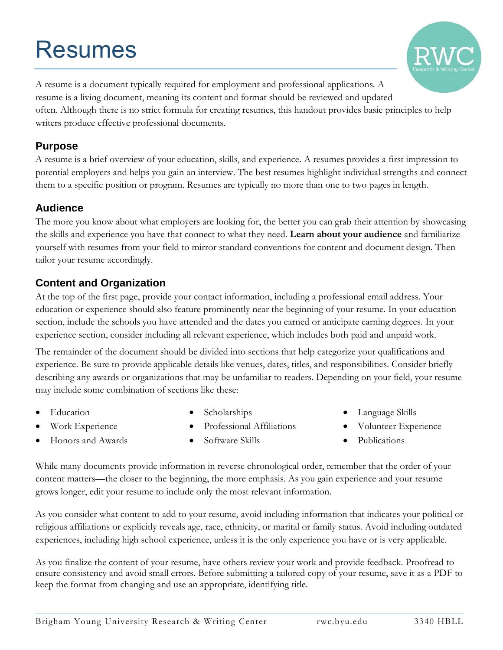# Resumes



A resume is a document typically required for employment and professional applications. A resume is a living document, meaning its content and format should be reviewed and updated often. Although there is no strict formula for creating resumes, this handout provides basic principles to help writers produce effective professional documents.

#### **Purpose**

A resume is a brief overview of your education, skills, and experience. A resumes provides a first impression to potential employers and helps you gain an interview. The best resumes highlight individual strengths and connect them to a specific position or program. Resumes are typically no more than one to two pages in length.

#### **Audience**

The more you know about what employers are looking for, the better you can grab their attention by showcasing the skills and experience you have that connect to what they need. **Learn about your audience** and familiarize yourself with resumes from your field to mirror standard conventions for content and document design. Then tailor your resume accordingly.

### **Content and Organization**

At the top of the first page, provide your contact information, including a professional email address. Your education or experience should also feature prominently near the beginning of your resume. In your education section, include the schools you have attended and the dates you earned or anticipate earning degrees. In your experience section, consider including all relevant experience, which includes both paid and unpaid work.

The remainder of the document should be divided into sections that help categorize your qualifications and experience. Be sure to provide applicable details like venues, dates, titles, and responsibilities. Consider briefly describing any awards or organizations that may be unfamiliar to readers. Depending on your field, your resume may include some combination of sections like these:

Education

Scholarships

Work Experience

- Professional Affiliations
- Language Skills
- Volunteer Experience

- Honors and Awards
- Software Skills

• Publications

While many documents provide information in reverse chronological order, remember that the order of your content matters—the closer to the beginning, the more emphasis. As you gain experience and your resume grows longer, edit your resume to include only the most relevant information.

As you consider what content to add to your resume, avoid including information that indicates your political or religious affiliations or explicitly reveals age, race, ethnicity, or marital or family status. Avoid including outdated experiences, including high school experience, unless it is the only experience you have or is very applicable.

As you finalize the content of your resume, have others review your work and provide feedback. Proofread to ensure consistency and avoid small errors. Before submitting a tailored copy of your resume, save it as a PDF to keep the format from changing and use an appropriate, identifying title.